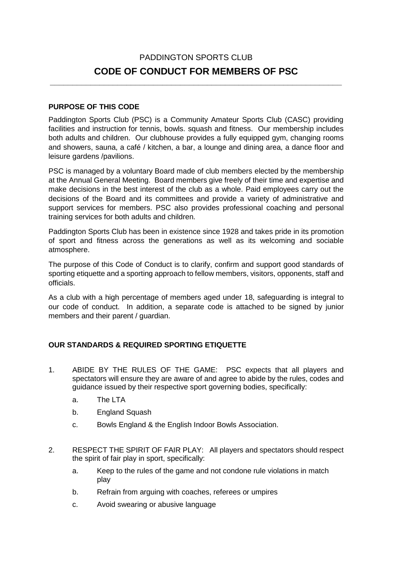# PADDINGTON SPORTS CLUB **CODE OF CONDUCT FOR MEMBERS OF PSC**

**\_\_\_\_\_\_\_\_\_\_\_\_\_\_\_\_\_\_\_\_\_\_\_\_\_\_\_\_\_\_\_\_\_\_\_\_\_\_\_\_\_\_\_\_\_\_\_\_\_\_\_\_\_\_\_\_\_\_\_\_\_\_\_\_\_**

#### **PURPOSE OF THIS CODE**

Paddington Sports Club (PSC) is a Community Amateur Sports Club (CASC) providing facilities and instruction for tennis, bowls. squash and fitness. Our membership includes both adults and children. Our clubhouse provides a fully equipped gym, changing rooms and showers, sauna, a café / kitchen, a bar, a lounge and dining area, a dance floor and leisure gardens /pavilions.

PSC is managed by a voluntary Board made of club members elected by the membership at the Annual General Meeting. Board members give freely of their time and expertise and make decisions in the best interest of the club as a whole. Paid employees carry out the decisions of the Board and its committees and provide a variety of administrative and support services for members. PSC also provides professional coaching and personal training services for both adults and children.

Paddington Sports Club has been in existence since 1928 and takes pride in its promotion of sport and fitness across the generations as well as its welcoming and sociable atmosphere.

The purpose of this Code of Conduct is to clarify, confirm and support good standards of sporting etiquette and a sporting approach to fellow members, visitors, opponents, staff and officials.

As a club with a high percentage of members aged under 18, safeguarding is integral to our code of conduct. In addition, a separate code is attached to be signed by junior members and their parent / guardian.

#### **OUR STANDARDS & REQUIRED SPORTING ETIQUETTE**

- 1. ABIDE BY THE RULES OF THE GAME: PSC expects that all players and spectators will ensure they are aware of and agree to abide by the rules, codes and guidance issued by their respective sport governing bodies, specifically:
	- a. The LTA
	- b. England Squash
	- c. Bowls England & the English Indoor Bowls Association.
- 2. RESPECT THE SPIRIT OF FAIR PLAY: All players and spectators should respect the spirit of fair play in sport, specifically:
	- a. Keep to the rules of the game and not condone rule violations in match play
	- b. Refrain from arguing with coaches, referees or umpires
	- c. Avoid swearing or abusive language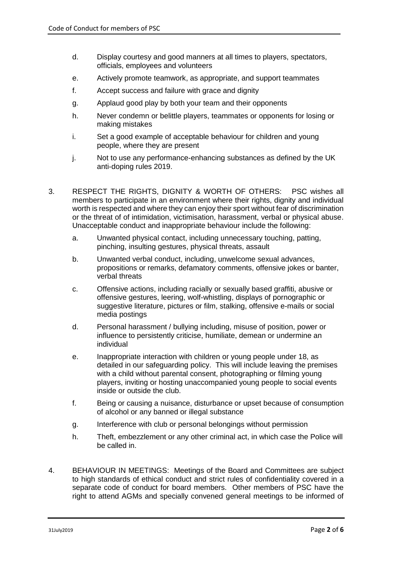- d. Display courtesy and good manners at all times to players, spectators, officials, employees and volunteers
- e. Actively promote teamwork, as appropriate, and support teammates
- f. Accept success and failure with grace and dignity
- g. Applaud good play by both your team and their opponents
- h. Never condemn or belittle players, teammates or opponents for losing or making mistakes
- i. Set a good example of acceptable behaviour for children and young people, where they are present
- j. Not to use any performance-enhancing substances as defined by the UK anti-doping rules 2019.
- 3. RESPECT THE RIGHTS, DIGNITY & WORTH OF OTHERS: PSC wishes all members to participate in an environment where their rights, dignity and individual worth is respected and where they can enjoy their sport without fear of discrimination or the threat of of intimidation, victimisation, harassment, verbal or physical abuse. Unacceptable conduct and inappropriate behaviour include the following:
	- a. Unwanted physical contact, including unnecessary touching, patting, pinching, insulting gestures, physical threats, assault
	- b. Unwanted verbal conduct, including, unwelcome sexual advances, propositions or remarks, defamatory comments, offensive jokes or banter, verbal threats
	- c. Offensive actions, including racially or sexually based graffiti, abusive or offensive gestures, leering, wolf-whistling, displays of pornographic or suggestive literature, pictures or film, stalking, offensive e-mails or social media postings
	- d. Personal harassment / bullying including, misuse of position, power or influence to persistently criticise, humiliate, demean or undermine an individual
	- e. Inappropriate interaction with children or young people under 18, as detailed in our safeguarding policy. This will include leaving the premises with a child without parental consent, photographing or filming young players, inviting or hosting unaccompanied young people to social events inside or outside the club.
	- f. Being or causing a nuisance, disturbance or upset because of consumption of alcohol or any banned or illegal substance
	- g. Interference with club or personal belongings without permission
	- h. Theft, embezzlement or any other criminal act, in which case the Police will be called in.
- 4. BEHAVIOUR IN MEETINGS: Meetings of the Board and Committees are subject to high standards of ethical conduct and strict rules of confidentiality covered in a separate code of conduct for board members. Other members of PSC have the right to attend AGMs and specially convened general meetings to be informed of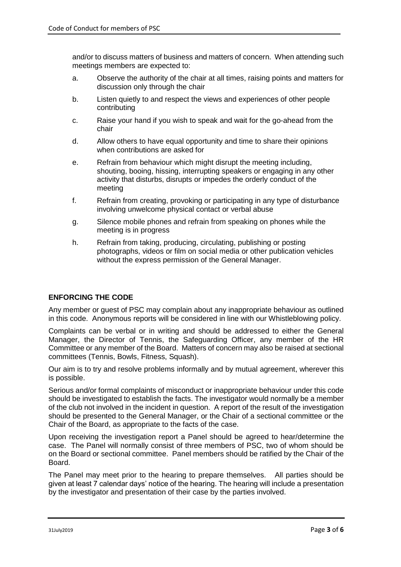and/or to discuss matters of business and matters of concern. When attending such meetings members are expected to:

- a. Observe the authority of the chair at all times, raising points and matters for discussion only through the chair
- b. Listen quietly to and respect the views and experiences of other people contributing
- c. Raise your hand if you wish to speak and wait for the go-ahead from the chair
- d. Allow others to have equal opportunity and time to share their opinions when contributions are asked for
- e. Refrain from behaviour which might disrupt the meeting including, shouting, booing, hissing, interrupting speakers or engaging in any other activity that disturbs, disrupts or impedes the orderly conduct of the meeting
- f. Refrain from creating, provoking or participating in any type of disturbance involving unwelcome physical contact or verbal abuse
- g. Silence mobile phones and refrain from speaking on phones while the meeting is in progress
- h. Refrain from taking, producing, circulating, publishing or posting photographs, videos or film on social media or other publication vehicles without the express permission of the General Manager.

#### **ENFORCING THE CODE**

Any member or guest of PSC may complain about any inappropriate behaviour as outlined in this code. Anonymous reports will be considered in line with our Whistleblowing policy.

Complaints can be verbal or in writing and should be addressed to either the General Manager, the Director of Tennis, the Safeguarding Officer, any member of the HR Committee or any member of the Board. Matters of concern may also be raised at sectional committees (Tennis, Bowls, Fitness, Squash).

Our aim is to try and resolve problems informally and by mutual agreement, wherever this is possible.

Serious and/or formal complaints of misconduct or inappropriate behaviour under this code should be investigated to establish the facts. The investigator would normally be a member of the club not involved in the incident in question. A report of the result of the investigation should be presented to the General Manager, or the Chair of a sectional committee or the Chair of the Board, as appropriate to the facts of the case.

Upon receiving the investigation report a Panel should be agreed to hear/determine the case. The Panel will normally consist of three members of PSC, two of whom should be on the Board or sectional committee. Panel members should be ratified by the Chair of the Board.

The Panel may meet prior to the hearing to prepare themselves. All parties should be given at least 7 calendar days' notice of the hearing. The hearing will include a presentation by the investigator and presentation of their case by the parties involved.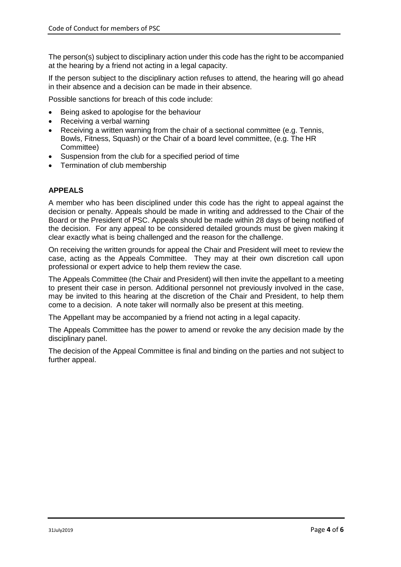The person(s) subject to disciplinary action under this code has the right to be accompanied at the hearing by a friend not acting in a legal capacity.

If the person subject to the disciplinary action refuses to attend, the hearing will go ahead in their absence and a decision can be made in their absence.

Possible sanctions for breach of this code include:

- Being asked to apologise for the behaviour
- Receiving a verbal warning
- Receiving a written warning from the chair of a sectional committee (e.g. Tennis, Bowls, Fitness, Squash) or the Chair of a board level committee, (e.g. The HR Committee)
- Suspension from the club for a specified period of time
- Termination of club membership

#### **APPEALS**

A member who has been disciplined under this code has the right to appeal against the decision or penalty. Appeals should be made in writing and addressed to the Chair of the Board or the President of PSC. Appeals should be made within 28 days of being notified of the decision. For any appeal to be considered detailed grounds must be given making it clear exactly what is being challenged and the reason for the challenge.

On receiving the written grounds for appeal the Chair and President will meet to review the case, acting as the Appeals Committee. They may at their own discretion call upon professional or expert advice to help them review the case.

The Appeals Committee (the Chair and President) will then invite the appellant to a meeting to present their case in person. Additional personnel not previously involved in the case, may be invited to this hearing at the discretion of the Chair and President, to help them come to a decision. A note taker will normally also be present at this meeting.

The Appellant may be accompanied by a friend not acting in a legal capacity.

The Appeals Committee has the power to amend or revoke the any decision made by the disciplinary panel.

The decision of the Appeal Committee is final and binding on the parties and not subject to further appeal.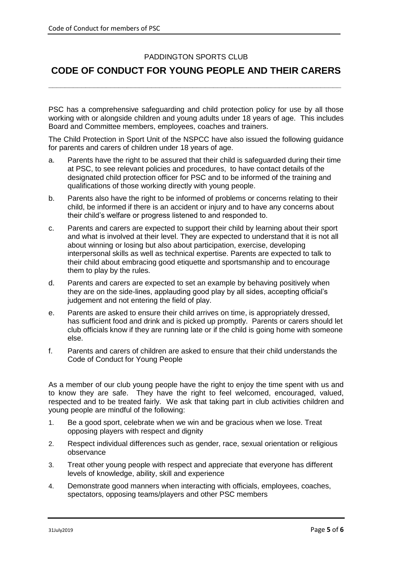### PADDINGTON SPORTS CLUB

## **CODE OF CONDUCT FOR YOUNG PEOPLE AND THEIR CARERS**

**\_\_\_\_\_\_\_\_\_\_\_\_\_\_\_\_\_\_\_\_\_\_\_\_\_\_\_\_\_\_\_\_\_\_\_\_\_\_\_\_\_\_\_\_\_\_\_\_\_\_\_\_\_\_\_\_\_\_\_\_\_\_\_\_\_\_\_\_\_\_\_**

PSC has a comprehensive safeguarding and child protection policy for use by all those working with or alongside children and young adults under 18 years of age. This includes Board and Committee members, employees, coaches and trainers.

The Child Protection in Sport Unit of the NSPCC have also issued the following guidance for parents and carers of children under 18 years of age.

- a. Parents have the right to be assured that their child is safeguarded during their time at PSC, to see relevant policies and procedures, to have contact details of the designated child protection officer for PSC and to be informed of the training and qualifications of those working directly with young people.
- b. Parents also have the right to be informed of problems or concerns relating to their child, be informed if there is an accident or injury and to have any concerns about their child's welfare or progress listened to and responded to.
- c. Parents and carers are expected to support their child by learning about their sport and what is involved at their level. They are expected to understand that it is not all about winning or losing but also about participation, exercise, developing interpersonal skills as well as technical expertise. Parents are expected to talk to their child about embracing good etiquette and sportsmanship and to encourage them to play by the rules.
- d. Parents and carers are expected to set an example by behaving positively when they are on the side-lines, applauding good play by all sides, accepting official's judgement and not entering the field of play.
- e. Parents are asked to ensure their child arrives on time, is appropriately dressed, has sufficient food and drink and is picked up promptly. Parents or carers should let club officials know if they are running late or if the child is going home with someone else.
- f. Parents and carers of children are asked to ensure that their child understands the Code of Conduct for Young People

As a member of our club young people have the right to enjoy the time spent with us and to know they are safe. They have the right to feel welcomed, encouraged, valued, respected and to be treated fairly. We ask that taking part in club activities children and young people are mindful of the following:

- 1. Be a good sport, celebrate when we win and be gracious when we lose. Treat opposing players with respect and dignity
- 2. Respect individual differences such as gender, race, sexual orientation or religious observance
- 3. Treat other young people with respect and appreciate that everyone has different levels of knowledge, ability, skill and experience
- 4. Demonstrate good manners when interacting with officials, employees, coaches, spectators, opposing teams/players and other PSC members